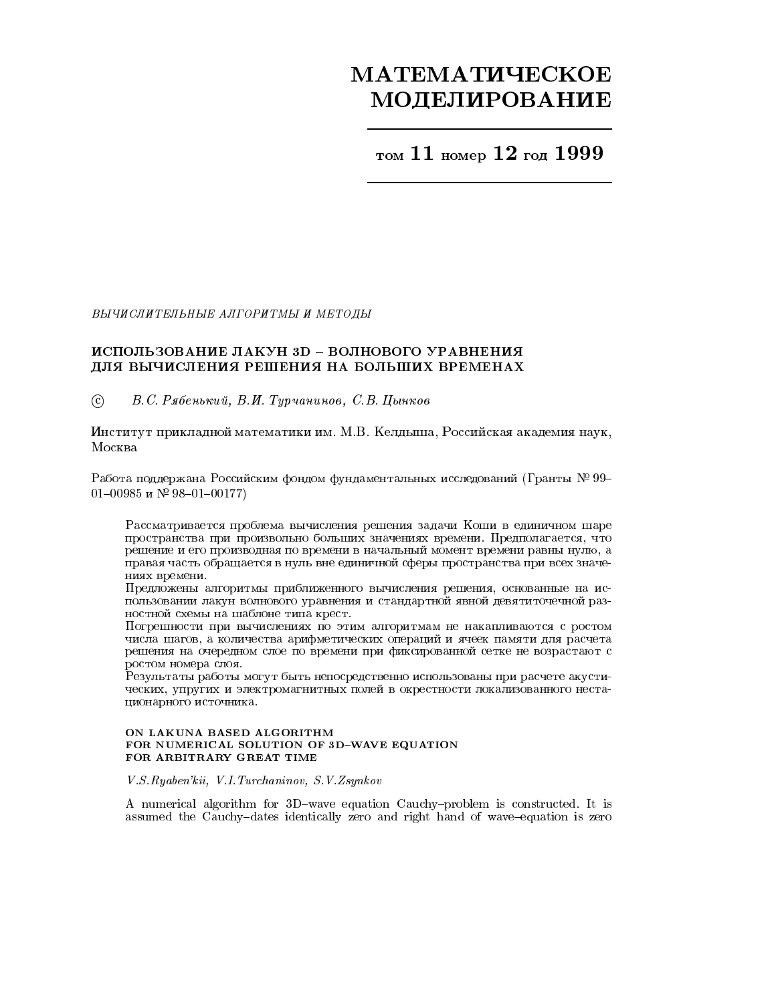# **МАТЕМАТИЧЕСКОЕ МОДЕЛИРОВАНИЕ**

том 11 номер 12 год 1999

ВЫЧИСЛИТЕЛЬНЫЕ АЛГОРИТМЫ И МЕТОДЫ

# ИСПОЛЬЗОВАНИЕ ЛАКУН 3D - ВОЛНОВОГО УРАВНЕНИЯ ДЛЯ ВЫЧИСЛЕНИЯ РЕШЕНИЯ НА БОЛЬШИХ ВРЕМЕНАХ

 $\odot$ В.С. Рябенький, В.И. Турчанинов, С.В. Цынков

Институт прикладной математики им. М.В. Келдыша, Российская академия наук, Москва

Работа поддержана Российским фондом фундаментальных исследований (Гранты № 99-01-00985 и № 98-01-00177)

Рассматривается проблема вычисления решения задачи Коши в единичном шаре пространства при произвольно больших значениях времени. Предполагается, что решение и его производная по времени в начальный момент времени равны нулю, а правая часть обращается в нуль вне единичной сферы пространства при всех значениях времени.

Предложены алгоритмы приближенного вычисления решения, основанные на использовании лакун волнового уравнения и стандартной явной девятиточечной разностной схемы на шаблоне типа крест.

Погрешности при вычислениях по этим алгоритмам не накапливаются с ростом числа шагов, а количества арифметических операций и ячеек памяти для расчета решения на очередном слое по времени при фиксированной сетке не возрастают с ростом номера слоя.

Результаты работы могут быть непосредственно использованы при расчете акустических, упругих и электромагнитных полей в окрестности локализованного нестационарного источника.

### ON LAKUNA BASED ALGORITHM FOR NUMERICAL SOLUTION OF 3D-WAVE EQUATION FOR ARBITRARY GREAT TIME

V.S.Ryaben'kii, V.I.Turchaninov, S.V.Zsynkov

A numerical algorithm for 3D-wave equation Cauchy-problem is constructed. It is assumed the Cauchy-dates identically zero and right hand of wave-equation is zero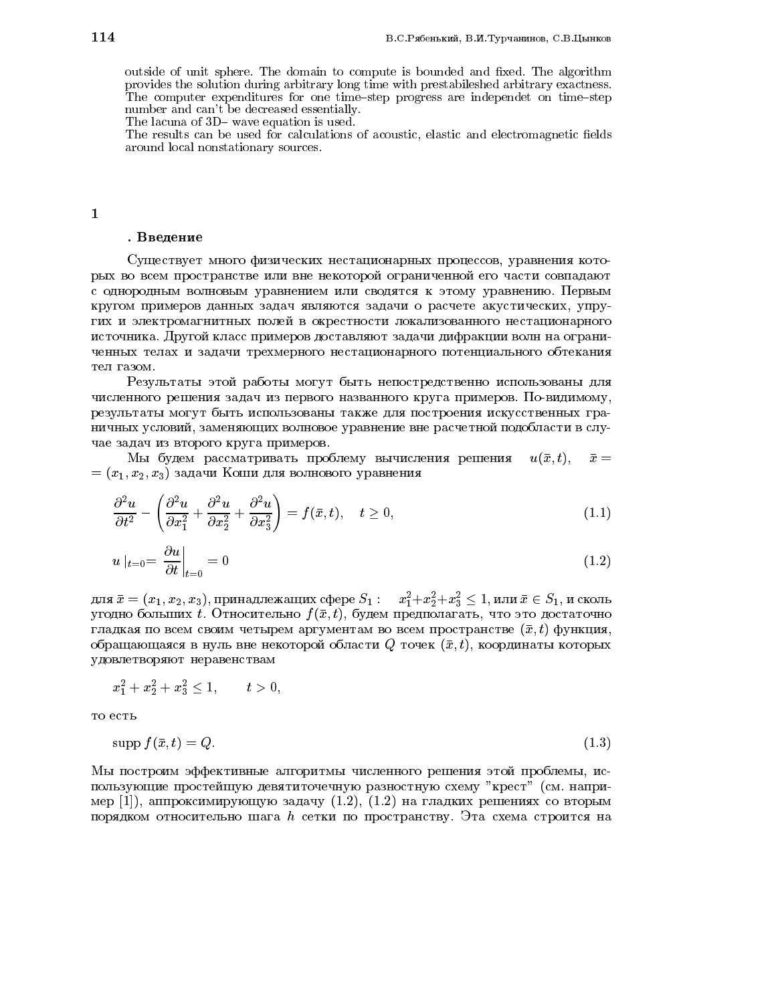outside of unit sphere. The domain to compute is bounded and fixed. The algorithm provides the solution during arbitrary long time with prestabileshed arbitrary exactness. The computer expenditures for one time-step progress are independet on time-step number and can't be decreased essentially.

The lacuna of 3D– wave equation is used.

The results can be used for calculations of acoustic, elastic and electromagnetic fields around local nonstationary sources.

#### . <u>www.communications.</u>

Существует много физических нестационарных процессов, уравнения которых во всем пространстве или вне некоторой ограниченной его части совпадают с однородным волновым уравнением или сводятся к этому уравнению. Первым кругом примеров данных задач являются задачи о расчете акустических, упругих и электромагнитных полей в окрестности локализованного нестационарного источника. Другой класс примеров доставляют задачи дифракции волн на ограниченных телах и задачи трехмерного нестационарного потенциального обтекания тел газом.

Результаты этой работы могут быть непостредственно использованы для численного решения задач из первого названного круга примеров. По-видимому, результаты могут быть использованы также для построения искусственных граничных условий, заменяющих волновое уравнение вне расчетной подобласти в случае задач из второго круга примеров.

Мы будем рассматривать проблему вычисления решения  $u(\bar{x}, t)$ ,  $\bar{x} =$  $=(x_1, x_2, x_3)$  задачи Коши для волнового уравнения

$$
\frac{\partial^2 u}{\partial t^2} - \left(\frac{\partial^2 u}{\partial x_1^2} + \frac{\partial^2 u}{\partial x_2^2} + \frac{\partial^2 u}{\partial x_3^2}\right) = f(\bar{x}, t), \quad t \ge 0,
$$
\n(1.1)

$$
u \mid_{t=0} = \frac{\partial u}{\partial t} \bigg|_{t=0} = 0 \tag{1.2}
$$

для  $\bar x = (x_1,x_2,x_3),$  принадлежащих сфере  $S_1: \quad x_1^2 + x_2^2 + x_3^2 \leq 1,$  или  $\bar x \in S_1,$  и сколь угодно больших t. Относительно  $f(\bar{x}, t)$ , будем предполагать, что это достаточно гладкая по всем своим четырем аргументам во всем пространстве  $(\bar{x}, t)$  функция, обращающаяся в нуль вне некоторой области Q точек  $(\bar{x}, t)$ , координаты которых удовлетворяют неравенствам

$$
x_1^2+x_2^2+x_3^2\leq 1,\qquad t>0,
$$

то есть

$$
\operatorname{supp} f(\bar{x}, t) = Q. \tag{1.3}
$$

Мы построим эффективные алгоритмы численного решения этой проблемы, использующие простейшую девятиточечную разностную схему "крест" (см. например [1]), аппроксимирующую задачу  $(1.2)$ ,  $(1.2)$  на гладких решениях со вторым порядком относительно шага h сетки по пространству. Эта схема строится на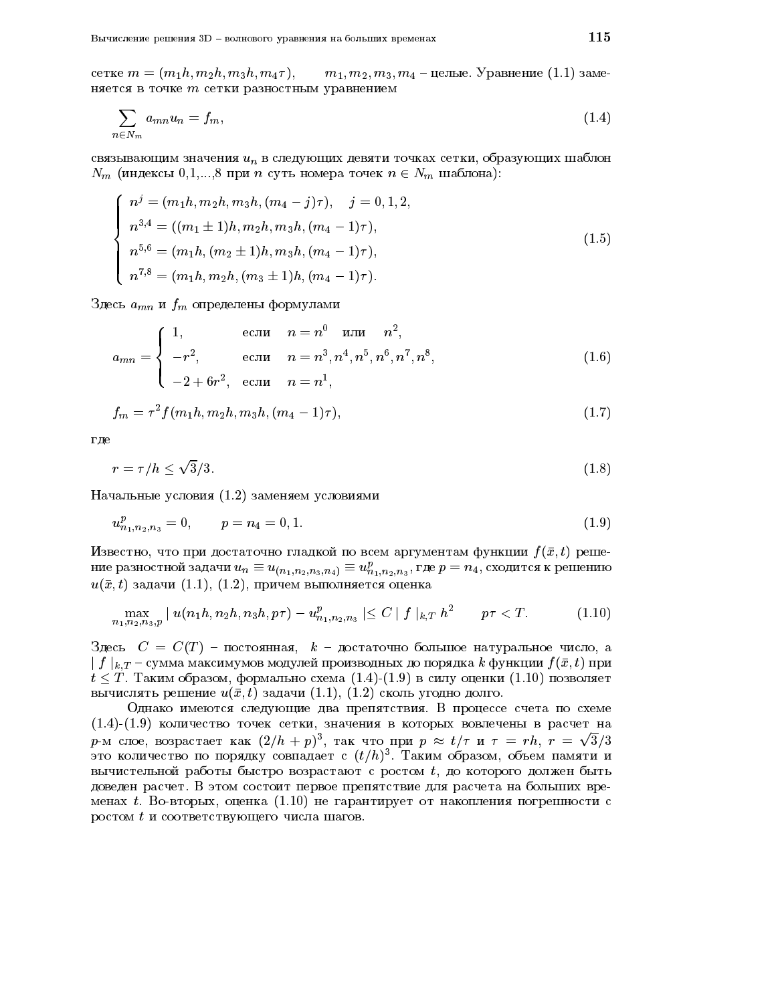cerke  $m = (m_1 h, m_2 h, m_3 h, m_4 \tau),$  $m_1, m_2, m_3, m_4$  – целые. Уравнение (1.1) заменяется в точке т сетки разностным уравнением

$$
\sum_{n \in N_m} a_{mn} u_n = f_m,\tag{1.4}
$$

связывающим значения  $u_n$  в следующих девяти точках сетки, образующих шаблон  $N_m$  (индексы 0,1,...,8 при *n* суть номера точек  $n \in N_m$  шаблона):

$$
n^{j} = (m_{1}h, m_{2}h, m_{3}h, (m_{4} - j)\tau), \quad j = 0, 1, 2,
$$
  
\n
$$
n^{3,4} = ((m_{1} \pm 1)h, m_{2}h, m_{3}h, (m_{4} - 1)\tau),
$$
  
\n
$$
n^{5,6} = (m_{1}h, (m_{2} \pm 1)h, m_{3}h, (m_{4} - 1)\tau),
$$
  
\n
$$
n^{7,8} = (m_{1}h, m_{2}h, (m_{3} \pm 1)h, (m_{4} - 1)\tau).
$$
\n(1.5)

Здесь  $a_{mn}$  и  $f_m$  определены формулами

$$
a_{mn} = \begin{cases} 1, & \text{ecли} \quad n = n^0 \quad \text{или} \quad n^2, \\ -r^2, & \text{ecnu} \quad n = n^3, n^4, n^5, n^6, n^7, n^8, \\ -2 + 6r^2, & \text{ecnu} \quad n = n^1, \end{cases}
$$
(1.6)

$$
f_m = \tau^2 f(m_1 h, m_2 h, m_3 h, (m_4 - 1)\tau), \tag{1.7}
$$

где

$$
r = \tau / h \le \sqrt{3}/3. \tag{1.8}
$$

Начальные условия (1.2) заменяем условиями

$$
u_{n_1,n_2,n_3}^p = 0, \qquad p = n_4 = 0, 1. \tag{1.9}
$$

Известно, что при достаточно гладкой по всем аргументам функции  $f(\bar{x}, t)$  решение разностной задачи  $u_n \equiv u_{(n_1,n_2,n_3,n_4)} \equiv u_{n_1,n_2,n_3}^p$ , где  $p = n_4$ , сходится к решению  $u(\bar{x},t)$  задачи  $(1.1)$ ,  $(1.2)$ , причем выполняется оценка

$$
\max_{n_1, n_2, n_3, p} |u(n_1h, n_2h, n_3h, p\tau) - u_{n_1, n_2, n_3}^p| \leq C |f|_{k, T} h^2 \qquad p\tau < T. \tag{1.10}
$$

Здесь  $C = C(T)$  – постоянная,  $k$  – достаточно большое натуральное число, а  $\mid f\mid_{k,T}$  – сумма максимумов модулей производных до порядка  $k$  функции  $f(\bar{x},t)$  при  $t \leq T$ . Таким образом, формально схема  $(1.4)$ - $(1.9)$  в силу оценки  $(1.10)$  позволяет вычислять решение  $u(\bar{x}, t)$  задачи  $(1.1)$ ,  $(1.2)$  сколь угодно долго.

Однако имеются следующие два препятствия. В процессе счета по схеме  $(1.4)-(1.9)$  количество точек сетки, значения в которых вовлечены в расчет на  $p$ -м слое, возрастает как  $(2/h + p)^3$ , так что при  $p \approx t/\tau$  и  $\tau = rh$ ,  $r = \sqrt{3}/3$ это количество по порядку совпадает с  $(t/h)^3$ . Таким образом, объем памяти и вычистельной работы быстро возрастают с ростом  $t$ , до которого должен быть доведен расчет. В этом состоит первое препятствие для расчета на больших временах t. Во-вторых, оценка (1.10) не гарантирует от накопления погрешности с ростом t и соответствующего числа шагов.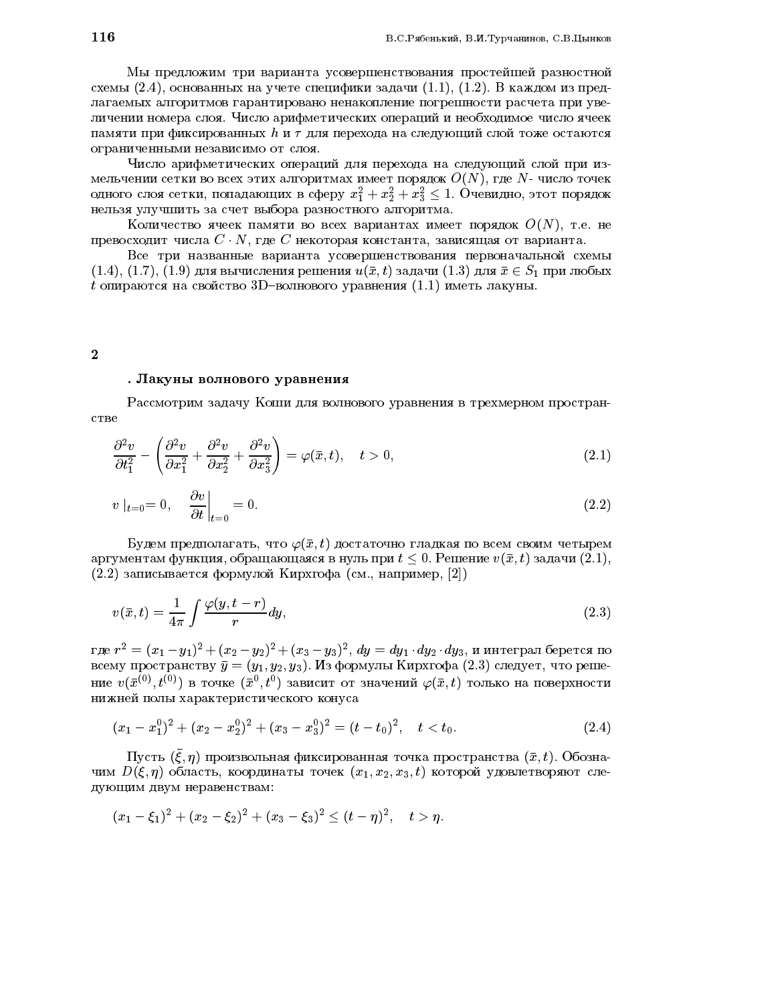Мы предложим три варианта усовершенствования простейшей разностной схемы  $(2.4)$ , основанных на учете специфики задачи  $(1.1)$ ,  $(1.2)$ . В каждом из предлагаемых алгоритмов гарантировано ненакопление погрешности расчета при увеличении номера слоя. Число арифметических операций и необходимое число ячеек памяти при фиксированных  $h$  и  $\tau$  для перехода на следующий слой тоже остаются ограниченными независимо от слоя.

Число арифметических операций для перехода на следующий слой при измельчении сетки во всех этих алгоритмах имеет порядок  $O(N)$ , где N- число точек одного слоя сетки, попадающих в сферу  $x_1^2 + x_2^2 + x_3^2 \le 1$ . Очевидно, этот порядок нельзя улучшить за счет выбора разностного алгоритма.

Количество ячеек памяти во всех вариантах имеет порядок  $O(N)$ , т.е. не превосходит числа  $C \cdot N$ , где C некоторая константа, зависящая от варианта.

Все три названные варианта усовершенствования первоначальной схемы  $(1.4), (1.7), (1.9)$  для вычисления решения  $u(\bar{x}, t)$  задачи  $(1.3)$  для  $\bar{x} \in S_1$  при любых  $t$  опираются на свойство 3D-волнового уравнения (1.1) иметь лакуны.

# $\bf 2$

## . Лакуны волнового уравнения

Рассмотрим задачу Коши для волнового уравнения в трехмерном пространстве

$$
\frac{\partial^2 v}{\partial t_1^2} - \left(\frac{\partial^2 v}{\partial x_1^2} + \frac{\partial^2 v}{\partial x_2^2} + \frac{\partial^2 v}{\partial x_3^2}\right) = \varphi(\bar{x}, t), \quad t > 0,
$$
\n(2.1)

$$
v \mid_{t=0} = 0, \quad \left. \frac{\partial v}{\partial t} \right|_{t=0} = 0. \tag{2.2}
$$

Будем предполагать, что  $\varphi(\bar{x},t)$  достаточно гладкая по всем своим четырем аргументам функция, обращающаяся в нуль при  $t < 0$ . Решение  $v(\bar{x}, t)$  задачи (2.1),  $(2.2)$  записывается формулой Кирхгофа (см., например, [2])

$$
v(\bar{x},t) = \frac{1}{4\pi} \int \frac{\varphi(y,t-r)}{r} dy,
$$
\n(2.3)

где  $r^2 = (x_1 - y_1)^2 + (x_2 - y_2)^2 + (x_3 - y_3)^2$ ,  $dy = dy_1 dy_2 dy_3$ , и интеграл берется по всему пространству  $\bar{y} = (y_1, y_2, y_3)$ . Из формулы Кирхгофа (2.3) следует, что решение  $v(\bar{x}^{(0)}, t^{(0)})$  в точке  $(\bar{x}^0, t^0)$  зависит от значений  $\varphi(\bar{x}, t)$  только на поверхности нижней полы характеристического конуса

$$
(x_1-x_1^0)^2+(x_2-x_2^0)^2+(x_3-x_3^0)^2=(t-t_0)^2, \quad t < t_0.
$$
\n(2.4)

Пусть  $(\bar{\xi}, \eta)$  произвольная фиксированная точка пространства  $(\bar{x}, t)$ . Обозначим  $D(\xi, \eta)$  область, координаты точек  $(x_1, x_2, x_3, t)$  которой удовлетворяют следующим двум неравенствам:

$$
(x_1-\xi_1)^2+(x_2-\xi_2)^2+(x_3-\xi_3)^2\leq (t-\eta)^2, \quad t>\eta.
$$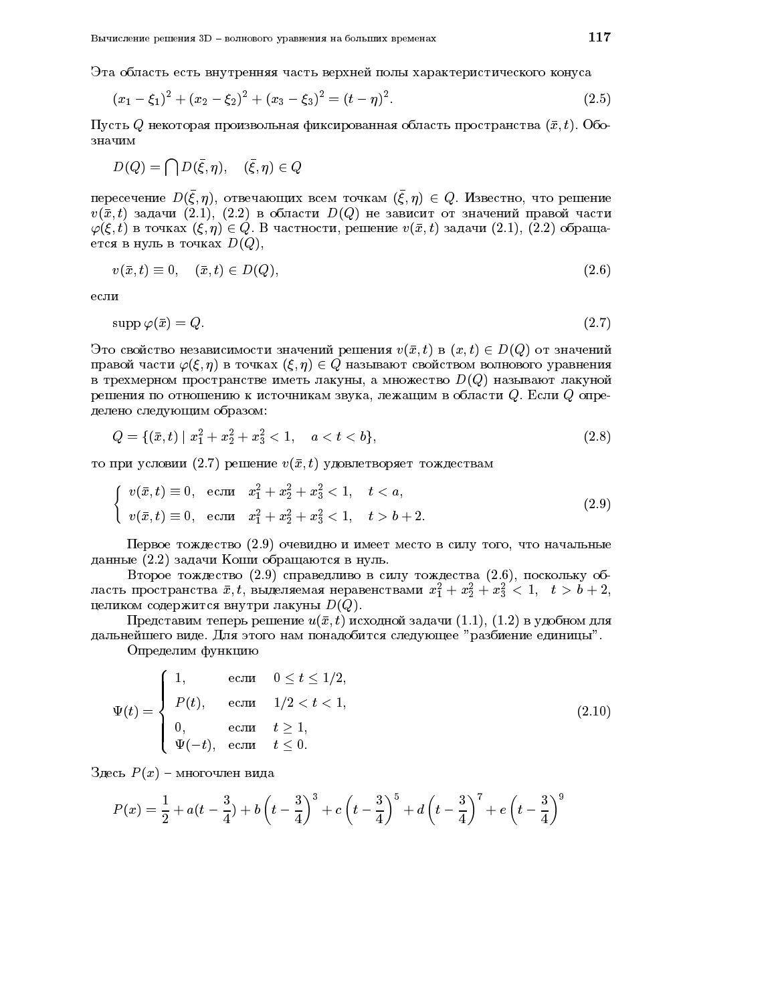Эта область есть внутренняя часть верхней полы характеристического конуса

$$
(x_1 - \xi_1)^2 + (x_2 - \xi_2)^2 + (x_3 - \xi_3)^2 = (t - \eta)^2.
$$
\n(2.5)

Пусть  $Q$  некоторая произвольная фиксированная область пространства  $(\bar{x}, t)$ . Обозначим

$$
D(Q)=\bigcap D(\bar \xi,\eta),\quad (\bar \xi,\eta)\in Q
$$

пересечение  $D(\xi, \eta)$ , отвечающих всем точкам  $(\xi, \eta) \in Q$ . Известно, что решение  $v(\bar{x}, t)$  задачи  $(2.1)$ ,  $(2.2)$  в области  $D(Q)$  не зависит от значений правой части  $\varphi(\xi, t)$  в точках  $(\xi, \eta) \in Q$ . В частности, решение  $v(\bar{x}, t)$  задачи  $(2.1)$ ,  $(2.2)$  обращается в нуль в точках  $D(Q)$ ,

$$
v(\bar{x},t) \equiv 0, \quad (\bar{x},t) \in D(Q), \tag{2.6}
$$

если

$$
\operatorname{supp}\varphi(\bar{x}) = Q.\tag{2.7}
$$

Это свойство независимости значений решения  $v(\bar{x}, t)$  в  $(x, t) \in D(Q)$  от значений правой части  $\varphi(\xi, \eta)$  в точках  $(\xi, \eta) \in Q$  называют свойством волнового уравнения в трехмерном пространстве иметь лакуны, а множество  $D(Q)$  называют лакуной решения по отношению к источникам звука, лежащим в области  $Q$ . Если  $Q$  onpeделено следующим образом:

$$
Q = \{ (\bar{x}, t) \mid x_1^2 + x_2^2 + x_3^2 < 1, \quad a < t < b \},\tag{2.8}
$$

то при условии  $(2.7)$  решение  $v(\bar{x}, t)$  удовлетворяет тождествам

$$
\begin{cases}\nv(\bar{x}, t) \equiv 0, & \text{ecnu} \quad x_1^2 + x_2^2 + x_3^2 < 1, \quad t < a, \\
v(\bar{x}, t) \equiv 0, & \text{ecnu} \quad x_1^2 + x_2^2 + x_3^2 < 1, \quad t > b + 2.\n\end{cases}\n\tag{2.9}
$$

Первое тождество (2.9) очевидно и имеет место в силу того, что начальные данные  $(2.2)$  задачи Коши обращаются в нуль.

Второе тождество (2.9) справедливо в силу тождества (2.6), поскольку область пространства  $x, \iota,$  выделяемая неравенствами  $x_{\bar{1}} + x_{\bar{2}} + x_{\bar{3}} < 1, \ \ \iota > \iota + 2,$ целиком содержится внутри лакуны  $D(Q)$ .

Представим теперь решение  $u(\bar{x}, t)$  исходной задачи (1.1), (1.2) в удобном для дальнейшего виде. Для этого нам понадобится следующее "разбиение единицы".

Определим функцию

$$
\Psi(t) = \begin{cases}\n1, & \text{ec}\pi\pi & 0 \le t \le 1/2, \\
P(t), & \text{ec}\pi\pi & 1/2 < t < 1, \\
0, & \text{ec}\pi\pi & t \ge 1, \\
\Psi(-t), & \text{ec}\pi\pi & t \le 0.\n\end{cases} \tag{2.10}
$$

Здесь  $P(x)$  – многочлен вида

$$
P(x) = \frac{1}{2} + a(t - \frac{3}{4}) + b\left(t - \frac{3}{4}\right)^3 + c\left(t - \frac{3}{4}\right)^5 + d\left(t - \frac{3}{4}\right)^7 + e\left(t - \frac{3}{4}\right)^9
$$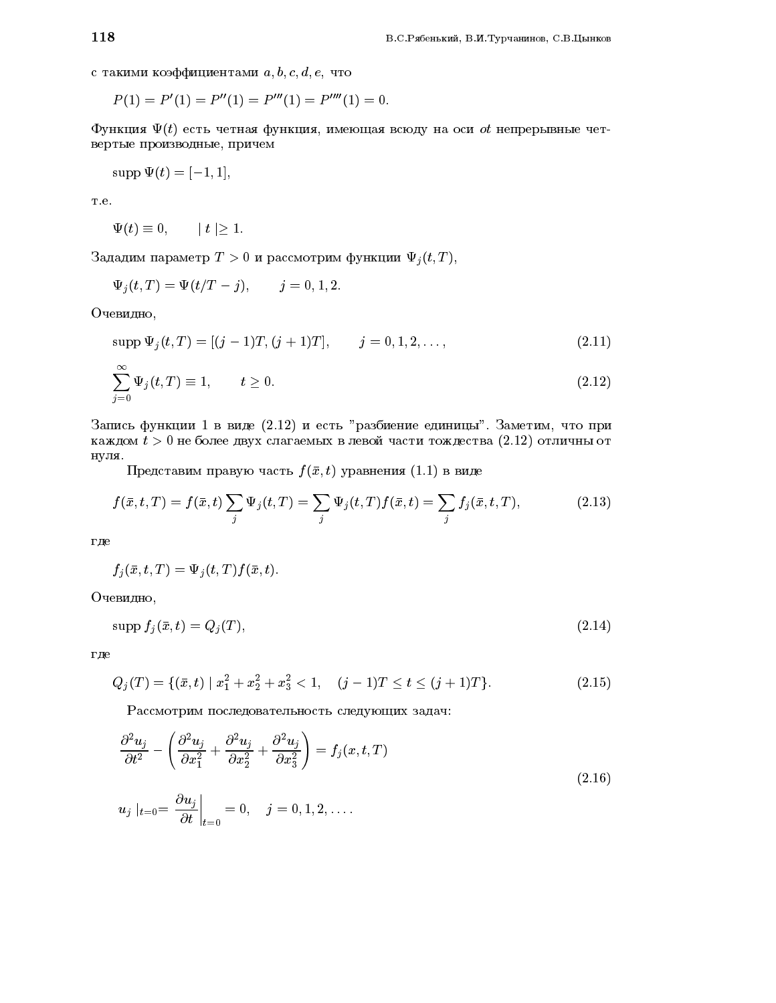с такими коэффициентами  $a, b, c, d, e$ , что

$$
P(1) = P'(1) = P''(1) = P'''(1) = P'''''(1) = 0.
$$

Функция  $\Psi(t)$  есть четная функция, имеющая всюду на оси *ot* непрерывные четвертые производные, причем

$$
supp \Psi(t) = [-1, 1],
$$

T.e.

$$
\Psi(t) \equiv 0, \qquad |t| \ge 1.
$$

Зададим параметр $T>0$ и рассмотрим функции  $\Psi_j(t,T)$ ,

$$
\Psi_j(t,T)=\Psi(t/T-j),\qquad j=0,1,2.
$$

Очевидно,

$$
supp \Psi_j(t,T) = [(j-1)T, (j+1)T], \qquad j = 0, 1, 2, \dots,
$$
\n(2.11)

$$
\sum_{j=0}^{\infty} \Psi_j(t, T) \equiv 1, \qquad t \ge 0.
$$
\n(2.12)

Запись функции 1 в виде (2.12) и есть "разбиение единицы". Заметим, что при каждом  $t > 0$  не более двух слагаемых в левой части тождества (2.12) отличны от нуля.

Представим правую часть  $f(\bar{x}, t)$  уравнения (1.1) в виде

$$
f(\bar{x}, t, T) = f(\bar{x}, t) \sum_{j} \Psi_{j}(t, T) = \sum_{j} \Psi_{j}(t, T) f(\bar{x}, t) = \sum_{j} f_{j}(\bar{x}, t, T),
$$
\n(2.13)

где

$$
f_j(\bar{x},t,T)=\Psi_j(t,T)f(\bar{x},t).
$$

Очевидно,

$$
\operatorname{supp} f_j(\bar{x}, t) = Q_j(T),\tag{2.14}
$$

где

$$
Q_j(T) = \{ (\bar{x}, t) \mid x_1^2 + x_2^2 + x_3^2 < 1, \quad (j - 1)T \le t \le (j + 1)T \}. \tag{2.15}
$$

Рассмотрим последовательность следующих задач:

$$
\frac{\partial^2 u_j}{\partial t^2} - \left(\frac{\partial^2 u_j}{\partial x_1^2} + \frac{\partial^2 u_j}{\partial x_2^2} + \frac{\partial^2 u_j}{\partial x_3^2}\right) = f_j(x, t, T)
$$
\n
$$
u_j \Big|_{t=0} = \frac{\partial u_j}{\partial t} \Big|_{t=0} = 0, \quad j = 0, 1, 2, \dots
$$
\n(2.16)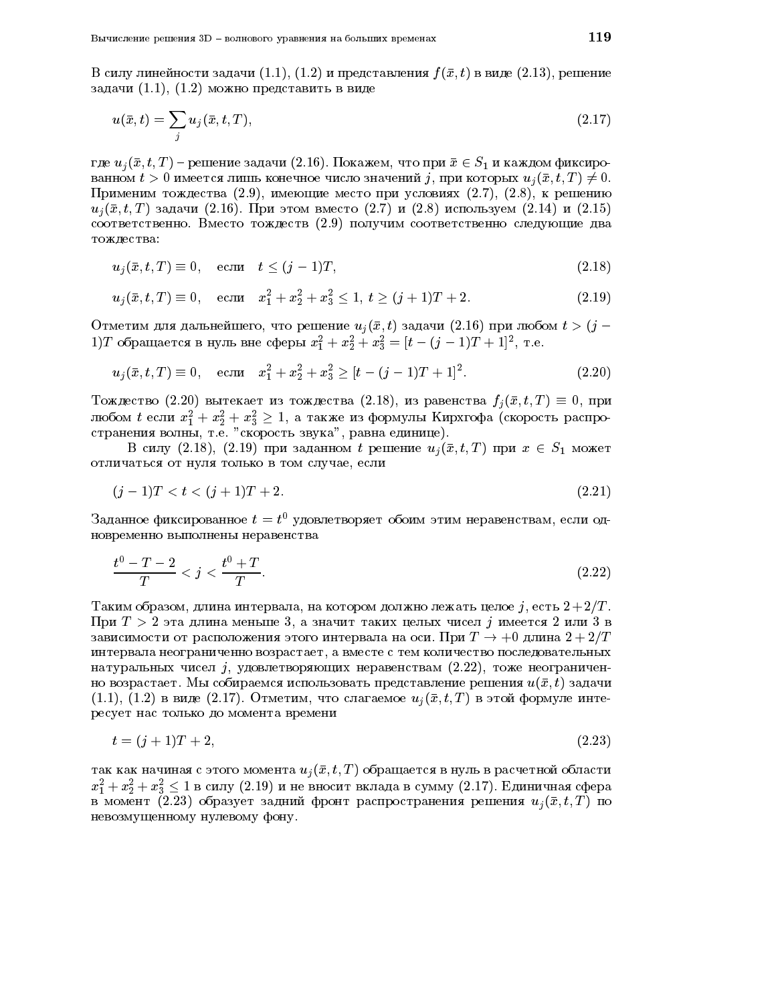В силу линейности задачи  $(1.1)$ ,  $(1.2)$  и представления  $f(\bar{x}, t)$  в виде  $(2.13)$ , решение задачи  $(1.1)$ ,  $(1.2)$  можно представить в виде

$$
u(\bar{x},t) = \sum_{j} u_j(\bar{x},t,T),
$$
\n(2.17)

где  $u_i(\bar{x}, t, T)$  – решение задачи (2.16). Покажем, что при  $\bar{x} \in S_1$  и каждом фиксированном  $t > 0$  имеется лишь конечное число значений j, при которых  $u_i(\bar{x}, t, T) \neq 0$ . Применим тождества (2.9), имеющие место при условиях (2.7), (2.8), к решению  $u_i(\bar{x}, t, T)$  задачи (2.16). При этом вместо (2.7) и (2.8) используем (2.14) и (2.15) соответственно. Вместо тождеств (2.9) получим соответственно следующие два тождества:

$$
u_j(\bar{x}, t, T) \equiv 0, \quad \text{ecnu} \quad t \le (j - 1)T,\tag{2.18}
$$

$$
u_j(\bar{x}, t, T) \equiv 0, \quad \text{ecn} \quad x_1^2 + x_2^2 + x_3^2 \le 1, \ t \ge (j+1)T + 2. \tag{2.19}
$$

Отметим для дальнейшего, что решение  $u_i(\bar{x}, t)$  задачи  $(2.16)$  при любом  $t > (j - 1)$ 1) Т обращается в нуль вне сферы  $x_1^2 + x_2^2 + x_3^2 = [t - (j - 1)T + 1]^2$ , т.е.

$$
u_j(\bar{x}, t, T) \equiv 0, \quad \text{ecn} \quad x_1^2 + x_2^2 + x_3^2 \ge [t - (j - 1)T + 1]^2. \tag{2.20}
$$

Тождество (2.20) вытекает из тождества (2.18), из равенства  $f_j(\bar{x}, t, T) \equiv 0$ , при любом  $t$  если  $x_1^2 + x_2^2 + x_3^2 \geq 1$ , а также из формулы Кирхгофа (скорость распространения волны, т.е. "скорость звука", равна единице).

В силу (2.18), (2.19) при заданном *t* решение  $u_i(\bar{x}, t, T)$  при  $x \in S_1$  может отличаться от нуля только в том случае, если

$$
(j-1)T < t < (j+1)T + 2.
$$
\n(2.21)

Заданное фиксированное  $t = t^0$  удовлетворяет обоим этим неравенствам, если одновременно выполнены неравенства

$$
\frac{t^0 - T - 2}{T} < j < \frac{t^0 + T}{T}.\tag{2.22}
$$

Таким образом, длина интервала, на котором должно лежать целое j, есть  $2+2/T$ . При  $T > 2$  эта длина меньше 3, а значит таких целых чисел *і* имеется 2 или 3 в зависимости от расположения этого интервала на оси. При  $T \to +0$  длина  $2 + 2/T$ интервала неограниченно возрастает, а вместе с тем количество последовательных натуральных чисел *j*, удовлетворяющих неравенствам (2.22), тоже неограниченно возрастает. Мы собираемся использовать представление решения  $u(\bar{x}, t)$  задачи  $(1.1), (1.2)$  в виде  $(2.17).$  Отметим, что слагаемое  $u_i(\bar{x}, t, T)$  в этой формуле интересует нас только до момента времени

$$
t = (j+1)T + 2,\tag{2.23}
$$

так как начиная с этого момента  $u_j(\bar{x},t,T)$  обращается в нуль в расчетной области  $x_1^2 + x_2^2 + x_3^2 \le 1$  в силу (2.19) и не вносит вклада в сумму (2.17). Единичная сфера в момент (2.23) образует задний фронт распространения решения  $u_i(\bar{x}, t, T)$  по невозмущенному нулевому фону.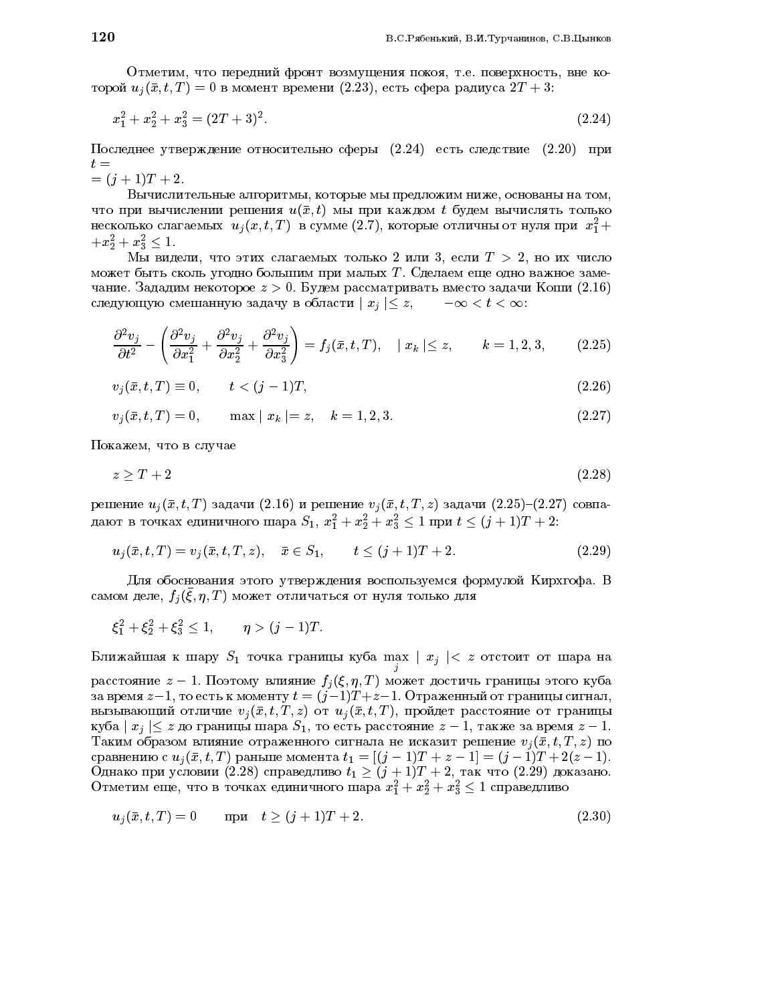Отметим, что передний фронт возмущения покоя, т.е. поверхность, вне которой  $u_i(\bar{x}, t, T) = 0$  в момент времени (2.23), есть сфера радиуса  $2T + 3$ :

$$
x_1^2 + x_2^2 + x_3^2 = (2T + 3)^2. \tag{2.24}
$$

Последнее утверждение относительно сферы (2.24) есть следствие (2.20) при  $t =$ 

 $=(j+1)T+2.$ 

Вычислительные алгоритмы, которые мы предложим ниже, основаны на том, что при вычислении решения  $u(\bar{x}, t)$  мы при каждом  $t$  будем вычислять только несколько слагаемых  $u_i(x, t, T)$  в сумме (2.7), которые отличны от нуля при  $x_1^2 +$  $+x_2^2+x_3^2\leq 1.$ 

Мы видели, что этих слагаемых только 2 или 3, если  $T > 2$ , но их число может быть сколь угодно большим при малых Т. Сделаем еще одно важное замечание. Зададим некоторое  $z > 0$ . Будем рассматривать вместо задачи Коши (2.16) следующую смешанную задачу в области  $|x_i| \leq z$ ,  $-\infty < t < \infty$ :

$$
\frac{\partial^2 v_j}{\partial t^2} - \left(\frac{\partial^2 v_j}{\partial x_1^2} + \frac{\partial^2 v_j}{\partial x_2^2} + \frac{\partial^2 v_j}{\partial x_3^2}\right) = f_j(\bar{x}, t, T), \quad |x_k| \le z, \qquad k = 1, 2, 3,
$$
 (2.25)

$$
v_j(\bar{x}, t, T) \equiv 0, \qquad t < (j - 1)T,\tag{2.26}
$$

$$
v_j(\bar{x}, t, T) = 0, \qquad \max | x_k | = z, \quad k = 1, 2, 3. \tag{2.27}
$$

Покажем, что в случае

$$
z \ge T + 2\tag{2.28}
$$

решение  $u_j(\bar{x}, t, T)$  задачи (2.16) и решение  $v_j(\bar{x}, t, T, z)$  задачи (2.25)-(2.27) совпадают в точках единичного шара  $S_1$ ,  $x_1^2 + x_2^2 + x_3^2 \le 1$  при  $t \le (j + 1)T + 2$ .

$$
u_j(\bar{x}, t, T) = v_j(\bar{x}, t, T, z), \quad \bar{x} \in S_1, \qquad t \le (j+1)T + 2. \tag{2.29}
$$

Для обоснования этого утверждения воспользуемся формулой Кирхгофа. В самом деле,  $f_i(\xi, \eta, T)$  может отличаться от нуля только для

$$
\xi_1^2 + \xi_2^2 + \xi_3^2 \le 1
$$
,  $\eta > (j-1)T$ .

Ближайшая к шару $S_1$ точка границы куба max  $\mid x_j \mid < \ z$ отстоит от шара на расстояние  $z-1$ . Поэтому влияние  $f_j(\xi, \eta, T)$  может достичь границы этого куба за время  $z-1$ , то есть к моменту  $t = (j-1)T + z - 1$ . Отраженный от границы сигнал, вызывающий отличие  $v_i(\bar{x}, t, T, z)$  от  $u_i(\bar{x}, t, T)$ , пройдет расстояние от границы куба  $|x_i| \leq z$  до границы шара  $S_1$ , то есть расстояние  $z-1$ , также за время  $z-1$ . Таким образом влияние отраженного сигнала не исказит решение  $v_i(\bar{x}, t, T, z)$  по сравнению с  $u_j(\bar{x}, t, T)$  раньше момента  $t_1 = [(j-1)T + z - 1] = (j-1)T + 2(z-1)$ . Однако при условии (2.28) справедливо  $t_1 \ge (j+1)T + 2$ , так что (2.29) доказано. Отметим еще, что в точках единичного шара  $x_1^2 + x_2^2 + x_3^2 \le 1$  справедливо

$$
u_j(\bar{x}, t, T) = 0 \qquad \text{npu} \quad t \ge (j + 1)T + 2. \tag{2.30}
$$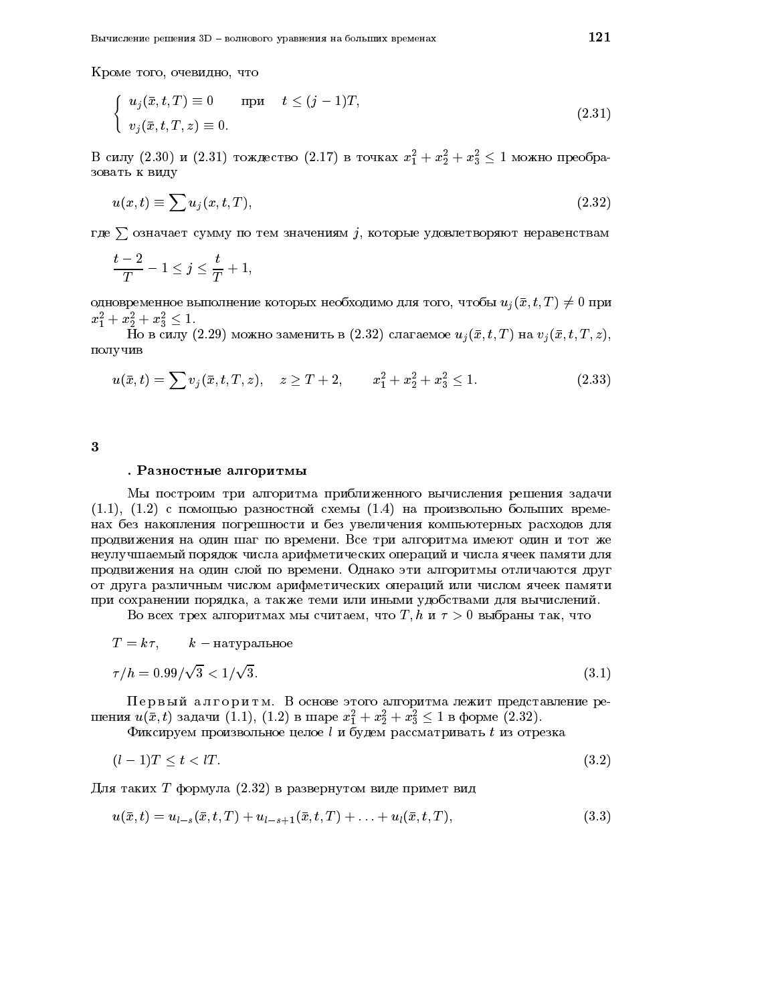$$
\begin{cases}\n u_j(\bar{x}, t, T) \equiv 0 & \text{npm} \quad t \le (j - 1)T, \\
 v_j(\bar{x}, t, T, z) \equiv 0.\n\end{cases}
$$
\n(2.31)

В силу (2.30) и (2.31) тождество (2.17) в точках  $x_1^2 + x_2^2 + x_3^2 \le 1$  можно преобразовать к виду

$$
u(x,t) \equiv \sum u_j(x,t,T),\tag{2.32}
$$

где  $\sum$  означает сумму по тем значениям  $j$ , которые удовлетворяют неравенствам

$$
\frac{t-2}{T}-1\leq j\leq \frac{t}{T}+1,
$$

одновременное выполнение которых необходимо для того, чтобы  $u_i(\bar{x}, t, T) \neq 0$  при  $x_1^2 + x_2^2 + x_3^2 \leq 1.$ 

 $\overline{H}$ о в силу (2.29) можно заменить в (2.32) слагаемое  $u_j(\bar{x}, t, T)$  на  $v_j(\bar{x}, t, T, z)$ , получив

$$
u(\bar{x},t) = \sum v_j(\bar{x},t,T,z), \quad z \ge T+2, \qquad x_1^2 + x_2^2 + x_3^2 \le 1. \tag{2.33}
$$

 $\bf{3}$ 

#### . Разностные алгоритмы

Мы построим три алгоритма приближенного вычисления решения задачи  $(1.1)$ ,  $(1.2)$  с помощью разностной схемы  $(1.4)$  на произвольно больших временах без накопления погрешности и без увеличения компьютерных расходов для продвижения на один шаг по времени. Все три алгоритма имеют один и тот же неулучшаемый порядок числа арифметических операций и числа ячеек памяти для продвижения на один слой по времени. Однако эти алгоритмы отличаются друг от друга различным числом арифметических операций или числом ячеек памяти при сохранении порядка, а также теми или иными удобствами для вычислений.

Во всех трех алгоритмах мы считаем, что *Т*, *h* и  $\tau > 0$  выбраны так, что

$$
T = k\tau, \qquad k - \text{harypanhence}
$$

$$
\tau/h = 0.99/\sqrt{3} < 1/\sqrt{3}.
$$

$$
\tag{3.1}
$$

Первый алгоритм. В основе этого алгоритма лежит представление решения  $u(\bar{x}, t)$  задачи (1.1), (1.2) в шаре  $x_1^2 + x_2^2 + x_3^2 \le 1$  в форме (2.32).<br>Фиксируем произвольное целое *l* и будем рассматривать *t* из отрезка

$$
(l-1)T < t < lT.
$$
\n
$$
(3.2)
$$

Для таких T формула  $(2.32)$  в развернутом виде примет вид

$$
u(\bar{x},t) = u_{l-s}(\bar{x},t,T) + u_{l-s+1}(\bar{x},t,T) + \ldots + u_l(\bar{x},t,T),
$$
\n(3.3)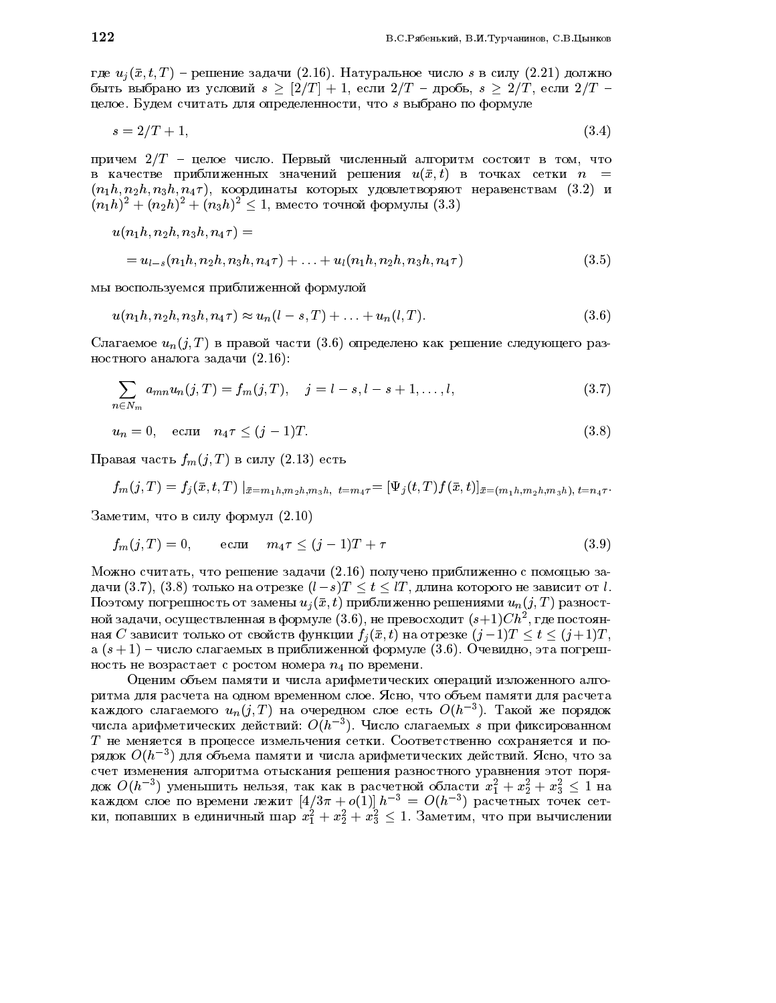где  $u_j(\bar{x}, t, T)$  – решение задачи (2.16). Натуральное число *s* в силу (2.21) должно быть выбрано из условий  $s \geq (2/T) + 1$ , если  $2/T - \mu$ робь,  $s \geq 2/T$ , если  $2/T$ целое. Будем считать для определенности, что  $s$  выбрано по формуле

$$
s = 2/T + 1,\tag{3.4}
$$

причем  $2/T$  - целое число. Первый численный алгоритм состоит в том, что в качестве приближенных значений решения  $u(\bar{x}, t)$  в точках сетки  $n =$  $(n_1h, n_2h, n_3h, n_4\tau)$ , координаты которых удовлетворяют неравенствам (3.2) и  $(n_1h)^2 + (n_2h)^2 + (n_3h)^2 \le 1$ , вместо точной формулы (3.3)

$$
u(n_1h, n_2h, n_3h, n_4\tau) =
$$
  
=  $u_{l-s}(n_1h, n_2h, n_3h, n_4\tau) + ... + u_l(n_1h, n_2h, n_3h, n_4\tau)$  (3.5)

мы воспользуемся приближенной формулой

$$
u(n_1h, n_2h, n_3h, n_4\tau) \approx u_n(l - s, T) + \ldots + u_n(l, T). \tag{3.6}
$$

Слагаемое  $u_n(j,T)$  в правой части (3.6) определено как решение следующего разностного аналога задачи  $(2.16)$ :

$$
\sum_{n \in N_m} a_{mn} u_n(j,T) = f_m(j,T), \quad j = l - s, l - s + 1, \dots, l,
$$
\n(3.7)

$$
u_n = 0, \quad \text{ecnu} \quad n_4 \tau \le (j-1)T. \tag{3.8}
$$

Правая часть  $f_m(j,T)$  в силу (2.13) есть

$$
f_m(j,T) = f_j(\bar{x}, t, T) |_{\bar{x} = m_1 h, m_2 h, m_3 h, t = m_4 \tau} = [\Psi_j(t,T) f(\bar{x}, t)]_{\bar{x} = (m_1 h, m_2 h, m_3 h), t = n_4 \tau}.
$$

Заметим, что в силу формул (2.10)

$$
f_m(j,T) = 0, \qquad \text{ecnu} \qquad m_4 \tau \le (j-1)T + \tau \tag{3.9}
$$

Можно считать, что решение задачи (2.16) получено приближенно с помощью задачи  $(3.7), (3.8)$  только на отрезке  $(l-s)T \le t \le lT$ , длина которого не зависит от l. Поэтому погрешность от замены  $u_i(\bar{x}, t)$  приближенно решениями  $u_n(j, T)$  разностной задачи, осуществленная в формуле  $(3.6)$ , не превосходит  $(s+1)Ch^2$ , где постоянная С зависит только от свойств функции  $f_i(\bar{x}, t)$  на отрезке  $(j-1)T < t < (j+1)T$ , а  $(s+1)$  – число слагаемых в приближенной формуле (3.6). Очевидно, эта погрешность не возрастает с ростом номера  $n_4$  по времени.

Оценим объем памяти и числа арифметических операций изложенного алгоритма для расчета на одном временном слое. Ясно, что объем памяти для расчета каждого слагаемого  $u_n(j,T)$  на очередном слое есть  $O(h^{-3})$ . Такой же порядок числа арифметических действий:  $O(h^{-3})$ . Число слагаемых *s* при фиксированном  $T$  не меняется в процессе измельчения сетки. Соответственно сохраняется и порядок  $O(h^{-3})$  для объема памяти и числа арифметических действий. Ясно, что за счет изменения алгоритма отыскания решения разностного уравнения этот порядок  $O(h^{-3})$  уменьшить нельзя, так как в расчетной области  $x_1^2 + x_2^2 + x_3^2 \le 1$  на каждом слое по времени лежит  $[4/3\pi + o(1)] h^{-3} = O(h^{-3})$  расчетных точек сетки, попавших в единичный шар  $x_1^2 + x_2^2 + x_3^2 \le 1$ . Заметим,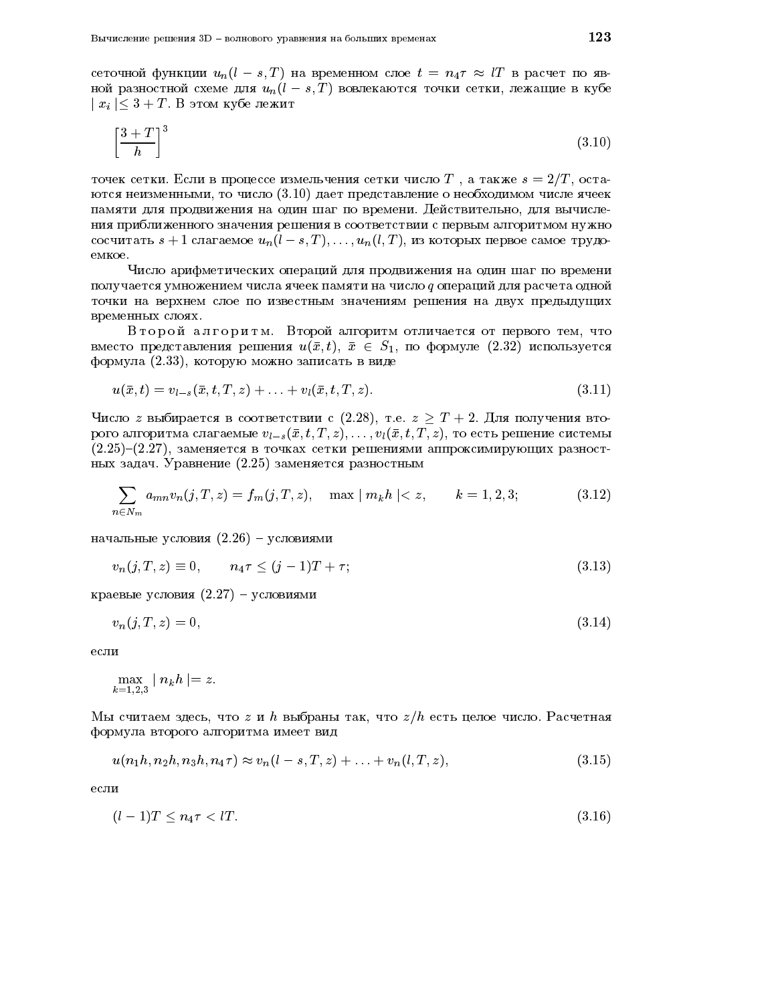сеточной функции  $u_n(l-s,T)$  на временном слое  $t = n_4 \tau \approx lT$  в расчет по явной разностной схеме для  $u_n(l-s,T)$  вовлекаются точки сетки, лежащие в кубе  $|x_i| \leq 3 + T$ . В этом кубе лежит

$$
\left[\frac{3+T}{h}\right]^3\tag{3.10}
$$

точек сетки. Если в процессе измельчения сетки число T, а также  $s = 2/T$ , остаются неизменными, то число  $(3.10)$  дает представление о необходимом числе ячеек памяти для продвижения на один шаг по времени. Действительно, для вычисления приближенного значения решения в соответствии с первым алгоритмом нужно сосчитать  $s+1$  слагаемое  $u_n(l-s,T), \ldots, u_n(l,T)$ , из которых первое самое трудоемкое.

Число арифметических операций для продвижения на один шаг по времени получается умножением числа ячеек памяти на число q операций для расчета одной точки на верхнем слое по известным значениям решения на двух предыдущих временных слоях.

Второй алгоритм. Второй алгоритм отличается от первого тем, что вместо представления решения  $u(\bar{x}, t)$ ,  $\bar{x} \in S_1$ , по формуле (2.32) используется формула (2.33), которую можно записать в виде

$$
u(\bar{x},t) = v_{l-s}(\bar{x},t,T,z) + \ldots + v_l(\bar{x},t,T,z). \tag{3.11}
$$

Число z выбирается в соответствии с (2.28), т.е.  $z \geq T + 2$ . Для получения второго алгоритма слагаемые  $v_{l-s}(\bar{x}, t, T, z), \ldots, v_l(\bar{x}, t, T, z)$ , то есть решение системы  $(2.25)-(2.27)$ , заменяется в точках сетки решениями аппроксимирующих разностных задач. Уравнение (2.25) заменяется разностным

$$
\sum_{n \in N_m} a_{mn} v_n(j, T, z) = f_m(j, T, z), \quad \max | m_k h | < z, \qquad k = 1, 2, 3; \tag{3.12}
$$

начальные условия  $(2.26)$  - условиями

$$
v_n(j, T, z) \equiv 0, \qquad n_4 \tau \le (j - 1)T + \tau; \tag{3.13}
$$

краевые условия  $(2.27)$  – условиями

$$
v_n(j, T, z) = 0,\tag{3.14}
$$

если

$$
\max_{k=1,2,3} \mid n_k h \mid = z
$$

Мы считаем здесь, что  $z$  и h выбраны так, что  $z/h$  есть целое число. Расчетная формула второго алгоритма имеет вид

$$
u(n_1h, n_2h, n_3h, n_4\tau) \approx v_n(l-s, T, z) + \ldots + v_n(l, T, z), \qquad (3.15)
$$

если

$$
(l-1)T \le n_4 \tau < l.
$$
\n
$$
(3.16)
$$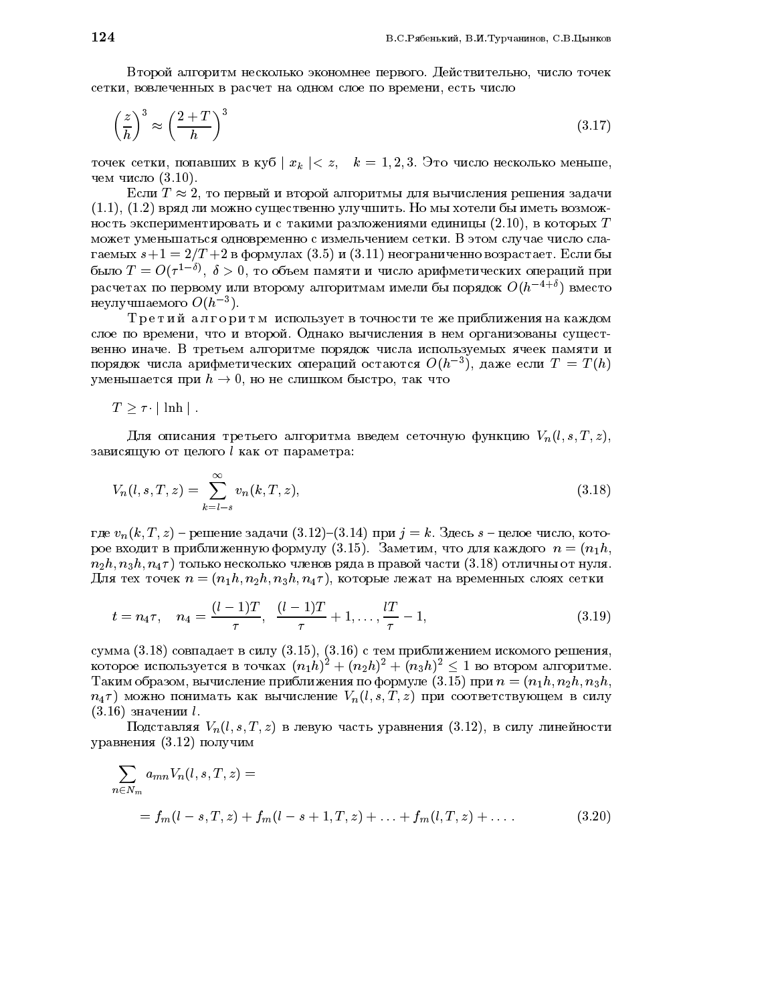Второй алгоритм несколько экономнее первого. Действительно, число точек сетки, вовлеченных в расчет на одном слое по времени, есть число

$$
\left(\frac{z}{h}\right)^3 \approx \left(\frac{2+T}{h}\right)^3\tag{3.17}
$$

точек сетки, попавших в куб  $|x_k| < z$ ,  $k = 1, 2, 3$ . Это число несколько меньше, чем число  $(3.10)$ .

Если  $T \approx 2$ , то первый и второй алгоритмы для вычисления решения задачи  $(1.1), (1.2)$  вряд ли можно существенно улучшить. Но мы хотели бы иметь возможность экспериментировать и с такими разложениями единицы  $(2.10)$ , в которых T может уменьшаться одновременно с измельчением сетки. В этом случае число слагаемых  $s+1=2/T+2$  в формулах (3.5) и (3.11) неограниченно возрастает. Если бы было  $T = O(\tau^{1-\delta})$ ,  $\delta > 0$ , то объем памяти и число арифметических операций при расчетах по первому или второму алгоритмам имели бы порядок  $O(h^{-4+\delta})$  вместо неулучшаемого  $O(h^{-3})$ .

Третий алгоритм использует в точности те же приближения на каждом слое по времени, что и второй. Однако вычисления в нем организованы существенно иначе. В третьем алгоритме порядок числа используемых ячеек памяти и порядок числа арифметических операций остаются  $O(h^{-3})$ , даже если  $T = T(h)$ уменьшается при  $h \to 0$ , но не слишком быстро, так что

 $T > \tau \cdot |\lnh|$ .

Для описания третьего алгоритма введем сеточную функцию  $V_n(l, s, T, z)$ , зависящую от целого  $l$  как от параметра:

$$
V_n(l,s,T,z) = \sum_{k=l-s}^{\infty} v_n(k,T,z),
$$
\n(3.18)

где  $v_n(k, T, z)$  – решение задачи (3.12)–(3.14) при  $j = k$ . Здесь  $s$  – целое число, которое входит в приближенную формулу (3.15). Заметим, что для каждого  $n = (n_1 h,$  $n_2h, n_3h, n_4\tau$ ) только несколько членов ряда в правой части (3.18) отличны от нуля. Для тех точек  $n = (n_1 h, n_2 h, n_3 h, n_4 \tau)$ , которые лежат на временных слоях сетки

$$
t = n_4 \tau, \quad n_4 = \frac{(l-1)T}{\tau}, \quad \frac{(l-1)T}{\tau} + 1, \dots, \frac{lT}{\tau} - 1,\tag{3.19}
$$

сумма  $(3.18)$  совпадает в силу  $(3.15)$ ,  $(3.16)$  с тем приближением искомого решения, которое используется в точках  $(n_1h)^2 + (n_2h)^2 + (n_3h)^2 \leq 1$  во втором алгоритме. Таким образом, вычисление приближения по формуле (3.15) при  $n = (n_1 h, n_2 h, n_3 h,$  $n_4\tau$ ) можно понимать как вычисление  $V_n(l,s,T,z)$  при соответствующем в силу  $(3.16)$  значении  $l$ .

Подставляя  $V_n(l, s, T, z)$  в левую часть уравнения (3.12), в силу линейности уравнения (3.12) получим

$$
\sum_{n \in N_m} a_{mn} V_n(l, s, T, z) =
$$
  
=  $f_m(l - s, T, z) + f_m(l - s + 1, T, z) + \dots + f_m(l, T, z) + \dots$  (3.20)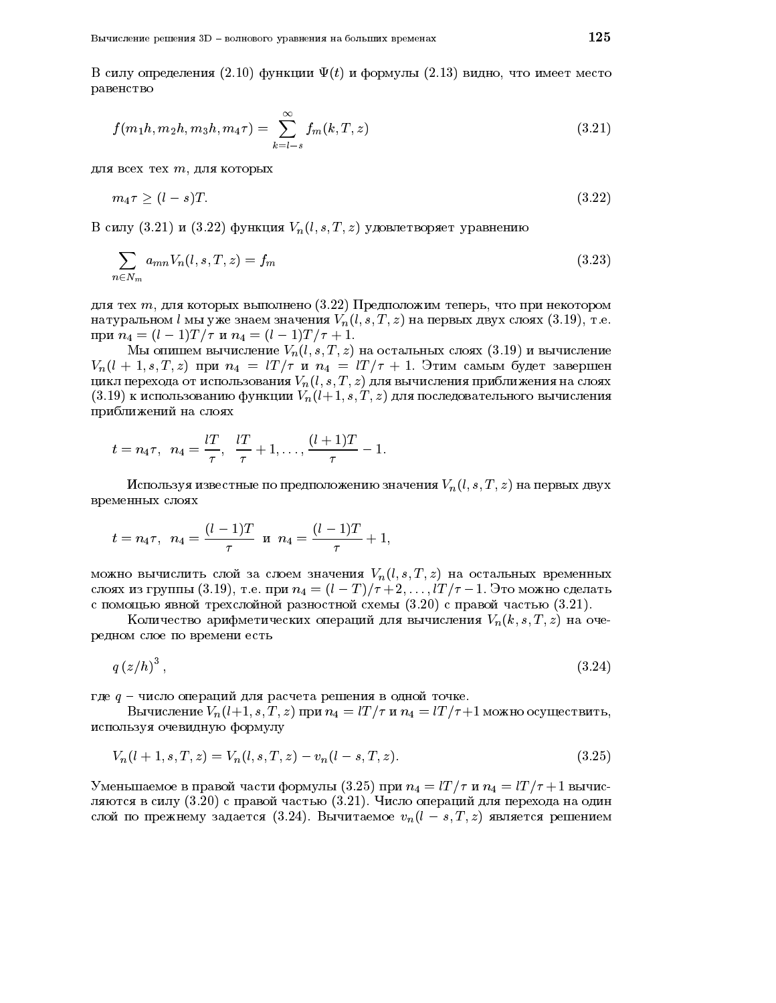В силу определения (2.10) функции  $\Psi(t)$  и формулы (2.13) видно, что имеет место равенство

$$
f(m_1h, m_2h, m_3h, m_4\tau) = \sum_{k=l-s}^{\infty} f_m(k, T, z)
$$
\n(3.21)

для всех тех т, для которых

$$
m_4 \tau \ge (l - s)T. \tag{3.22}
$$

В силу (3.21) и (3.22) функция  $V_n(l,s,T,z)$  удовлетворяет уравнению

$$
\sum_{n \in N_m} a_{mn} V_n(l, s, T, z) = f_m \tag{3.23}
$$

для тех  $m$ , для которых выполнено (3.22) Предположим теперь, что при некотором натуральном  $l$  мы уже знаем значения  $V_n(l, s, T, z)$  на первых двух слоях (3.19), т.е. при  $n_4 = (l-1)T/\tau$  и  $n_4 = (l-1)T/\tau + 1$ .

Мы опишем вычисление  $V_n(l, s, T, z)$  на остальных слоях  $(3.19)$  и вычисление  $V_n(l + 1, s, T, z)$  при  $n_4 = lT/\tau$  и  $n_4 = lT/\tau + 1$ . Этим самым будет завершен цикл перехода от использования  $V_n(l,s,T,z)$  для вычисления приближения на слоях  $(3.19)$  к использованию функции  $V_n(l+1, s, T, z)$  для последовательного вычисления приближений на слоях

$$
t = n_4 \tau
$$
,  $n_4 = \frac{lT}{\tau}$ ,  $\frac{lT}{\tau} + 1$ ,...,  $\frac{(l+1)T}{\tau} - 1$ .

Используя известные по предположению значения  $V_n(l, s, T, z)$  на первых двух временных слоях

$$
t = n_4 \tau
$$
,  $n_4 = \frac{(l-1)T}{\tau}$  m  $n_4 = \frac{(l-1)T}{\tau} + 1$ ,

можно вычислить слой за слоем значения  $V_n(l, s, T, z)$  на остальных временных слоях из группы (3.19), т.е. при  $n_4 = (l - T)/\tau + 2, \ldots, lT/\tau - 1$ . Это можно сделать с помощью явной трехслойной разностной схемы  $(3.20)$  с правой частью  $(3.21)$ .

Количество арифметических операций для вычисления  $V_n(k, s, T, z)$  на очередном слое по времени есть

$$
q\left(z/h\right)^3,\tag{3.24}
$$

где  $q$  - число операций для расчета решения в одной точке.

Вычисление  $V_n(l+1, s, T, z)$  при  $n_4 = lT/\tau$  и  $n_4 = lT/\tau+1$  можно осуществить, используя очевидную формулу

$$
V_n(l+1,s,T,z) = V_n(l,s,T,z) - v_n(l-s,T,z).
$$
\n(3.25)

Уменьшаемое в правой части формулы (3.25) при  $n_4 = lT/\tau$  и  $n_4 = lT/\tau + 1$  вычисляются в силу (3.20) с правой частью (3.21). Число операций для перехода на один слой по прежнему задается (3.24). Вычитаемое  $v_n(l-s,T,z)$  является решением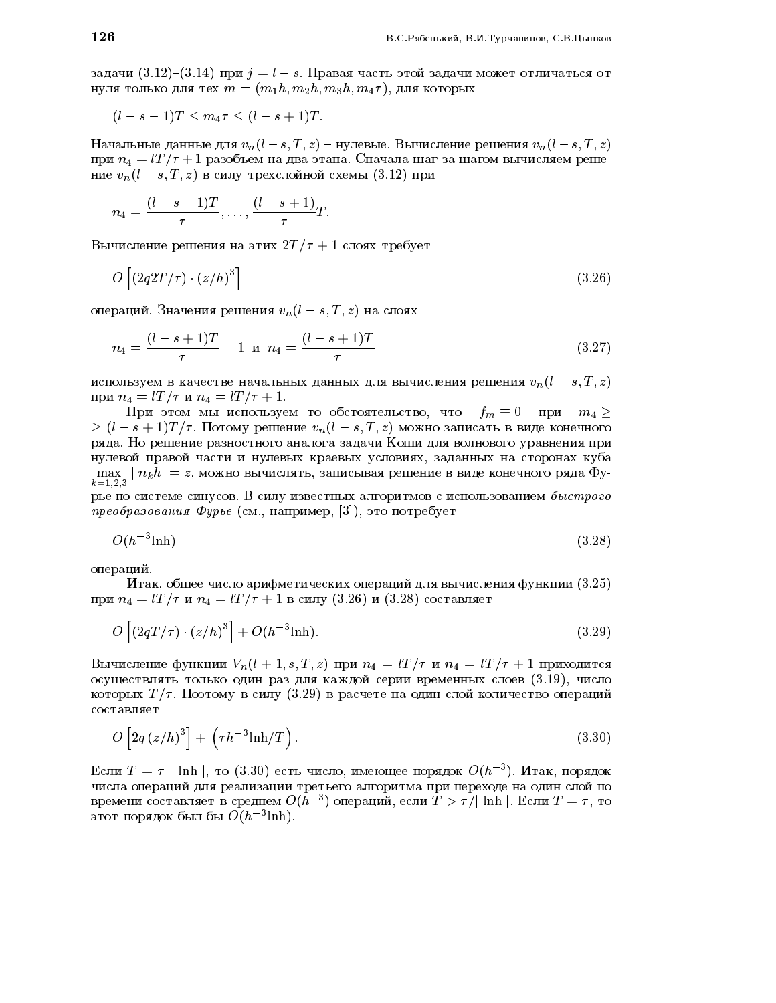задачи  $(3.12)$ – $(3.14)$  при  $j = l - s$ . Правая часть этой задачи может отличаться от нуля только для тех  $m = (m_1 h, m_2 h, m_3 h, m_4 \tau)$ , для которых

$$
(l-s-1)T \leq m_4 \tau \leq (l-s+1)T.
$$

Начальные данные для  $v_n(l-s,T,z)$  – нулевые. Вычисление решения  $v_n(l-s,T,z)$ при  $n_4 = lT/\tau + 1$  разобъем на два этапа. Сначала шаг за шагом вычисляем решение  $v_n(l-s,T,z)$  в силу трехслойной схемы (3.12) при

$$
n_4=\frac{(l-s-1)T}{\tau},\ldots,\frac{(l-s+1)}{\tau}T.
$$

Вычисление решения на этих  $2T/\tau + 1$  слоях требует

$$
O\left[\left(2q2T/\tau\right)\cdot\left(z/h\right)^3\right] \tag{3.26}
$$

операций. Значения решения  $v_n(l-s,T,z)$  на слоях

$$
n_4 = \frac{(l - s + 1)T}{\tau} - 1 \quad \text{if} \quad n_4 = \frac{(l - s + 1)T}{\tau} \tag{3.27}
$$

используем в качестве начальных данных для вычисления решения  $v_n(l-s,T,z)$ при  $n_4 = lT/\tau$  и  $n_4 = lT/\tau + 1$ .

При этом мы используем то обстоятельство, что  $f_m \equiv 0$  при  $m_4 \geq$  $\geq (l-s+1)T/\tau$ . Потому решение  $v_n(l-s,T,z)$  можно записать в виде конечного ряда. Но решение разностного аналога задачи Коши для волнового уравнения при нулевой правой части и нулевых краевых условиях, заданных на сторонах куба  $\max_{k=1,2,3} |n_k h| = z$ , можно вычислять, записывая решение в виде конечного ряда Фу-

рье по системе синусов. В силу известных алгоритмов с использованием быстрого преобразования Фурье (см., например, [3]), это потребует

$$
O(h^{-3}\text{lnh})\tag{3.28}
$$

операций.

Итак, общее число арифметических операций для вычисления функции (3.25) при  $n_4 = lT/\tau$  и  $n_4 = lT/\tau + 1$  в силу (3.26) и (3.28) составляет

$$
O\left[\left(2qT/\tau\right)\cdot\left(z/h\right)^3\right] + O(h^{-3}\text{lnh}).\tag{3.29}
$$

Вычисление функции  $V_n(l + 1, s, T, z)$  при  $n_4 = lT/\tau$  и  $n_4 = lT/\tau + 1$  приходится осуществлять только один раз для каждой серии временных слоев (3.19), число которых  $T/\tau$ . Поэтому в силу (3.29) в расчете на один слой количество операций составляет

$$
O\left[2q\left(z/h\right)^3\right] + \left(\tau h^{-3}\ln\!/\!T\right). \tag{3.30}
$$

Если  $T = \tau | \ln h |$ , то (3.30) есть число, имеющее порядок  $O(h^{-3})$ . Итак, порядок числа операций для реализации третьего алгоритма при переходе на один слой по времени составляет в среднем  $O(h^{-3})$  операций, если  $T > \tau/|\ln h|$ . Если  $T = \tau$ , то этот порядок был бы  $O(h^{-3}\text{lnh})$ .